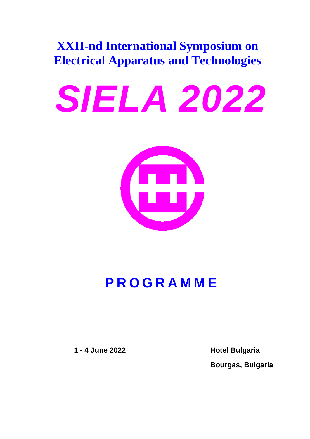# **XXII-nd International Symposium on Electrical Apparatus and Technologies**

# *SIELA 2022*



# **PROGRAMME**

**1 - 4 June 2022 Hotel Bulgaria**

**Bourgas, Bulgaria**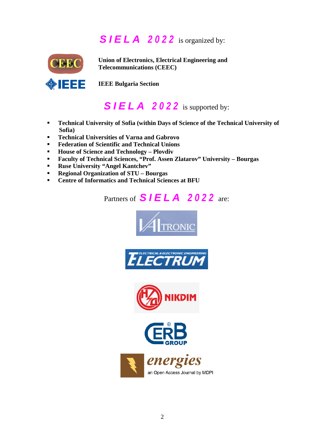# *SIELA 2022* is organized by:



**Union of Electronics, Electrical Engineering and Telecommunications (CEEC)**

**IEEE Bulgaria Section**

# *SIELA 2022* is supported by:

- **Technical University of Sofia (within Days of Science of the Technical University of Sofia)**
- **Technical Universities of Varna and Gabrovo**
- **Federation of Scientific and Technical Unions**
- **House of Science and Technology – Plovdiv**
- **Faculty of Technical Sciences, "Prof. Assen Zlatarov" University – Bourgas**
- **Ruse University "Angel Kantchev"**
- **Regional Organization of STU – Bourgas**
- **Centre of Informatics and Technical Sciences at BFU**

Partners of *SIELA* 2022 are:









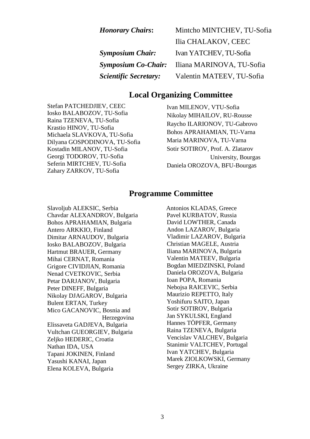| <b>Honorary Chairs:</b>      | Mintcho MINTCHEV, TU-Sofia |
|------------------------------|----------------------------|
|                              | Ilia CHALAKOV, CEEC        |
| <b>Symposium Chair:</b>      | Ivan YATCHEV, TU-Sofia     |
| <b>Symposium Co-Chair:</b>   | Iliana MARINOVA, TU-Sofia  |
| <b>Scientific Secretary:</b> | Valentin MATEEV, TU-Sofia  |

#### **Local Organizing Committee**

Stefan PATCHEDJIEV, CEEC Iosko BALABOZOV, TU-Sofia Raina TZENEVA, TU-Sofia Krastio HINOV, TU-Sofia Michaela SLAVKOVA, TU-Sofia Dilyana GOSPODINOVA, TU-Sofia Kostadin MILANOV, TU-Sofia Georgi TODOROV, TU-Sofia Seferin MIRTCHEV, TU-Sofia Zahary ZARKOV, TU-Sofia

Ivan MILENOV, VTU-Sofia Nikolay MIHAILOV, RU-Rousse Raycho ILARIONOV, TU-Gabrovo Bohos APRAHAMIAN, TU-Varna Maria MARINOVA, TU-Varna Sotir SOTIROV, Prof. A. Zlatarov University, Bourgas Daniela OROZOVA, BFU-Bourgas

#### **Programme Committee**

Slavoljub ALEKSIC, Serbia Chavdar ALEXANDROV, Bulgaria Bohos APRAHAMIAN, Bulgaria Antero ARKKIO, Finland Dimitar ARNAUDOV, Bulgaria Iosko BALABOZOV, Bulgaria Hartmut BRAUER, Germany Mihai CERNAT, Romania Grigore CIVIDJIAN, Romania Nenad CVETKOVIC, Serbia Petar DARJANOV, Bulgaria Peter DINEFF, Bulgaria Nikolay DJAGAROV, Bulgaria Bulent ERTAN, Turkey Mico GACANOVIC, Bosnia and Herzegovina Elissaveta GADJEVA, Bulgaria Vultchan GUEORGIEV, Bulgaria Zeljko HEDERIC, Croatia Nathan IDA, USA Tapani JOKINEN, Finland Yasushi KANAI, Japan Elena KOLEVA, Bulgaria

Antonios KLADAS, Greece Pavel KURBATOV, Russia David LOWTHER, Canada Andon LAZAROV, Bulgaria Vladimir LAZAROV, Bulgaria Christian MAGELE, Austria Iliana MARINOVA, Bulgaria Valentin MATEEV, Bulgaria Bogdan MIEDZINSKI, Poland Daniela OROZOVA, Bulgaria Ioan POPA, Romania Nebojsa RAICEVIC, Serbia Maurizio REPETTO, Italy Yoshifuru SAITO, Japan Sotir SOTIROV, Bulgaria Jan SYKULSKI, England Hannes TÖPFER, Germany Raina TZENEVA, Bulgaria Vencislav VALCHEV, Bulgaria Stanimir VALTCHEV, Portugal Ivan YATCHEV, Bulgaria Marek ZIOLKOWSKI, Germany Sergey ZIRKA, Ukraine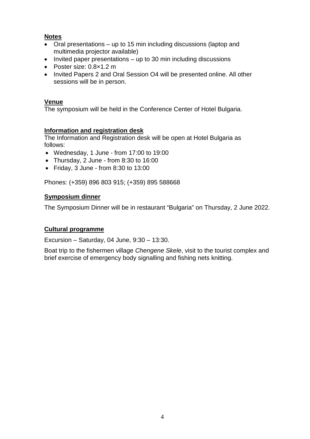#### **Notes**

- Oral presentations up to 15 min including discussions (laptop and multimedia projector available)
- Invited paper presentations up to 30 min including discussions
- Poster size: 0.8×1.2 m
- Invited Papers 2 and Oral Session O4 will be presented online. All other sessions will be in person.

#### **Venue**

The symposium will be held in the Conference Center of Hotel Bulgaria.

#### **Information and registration desk**

The Information and Registration desk will be open at Hotel Bulgaria as follows:

- Wednesday, 1 June from 17:00 to 19:00
- Thursday, 2 June from 8:30 to 16:00
- Friday, 3 June from 8:30 to 13:00

Phones: (+359) 896 803 915; (+359) 895 588668

#### **Symposium dinner**

The Symposium Dinner will be in restaurant "Bulgaria" on Thursday, 2 June 2022.

#### **Cultural programme**

Excursion – Saturday, 04 June,  $9:30 - 13:30$ .

Boat trip to the fishermen village *Chengene Skele*, visit to the tourist complex and brief exercise of emergency body signalling and fishing nets knitting.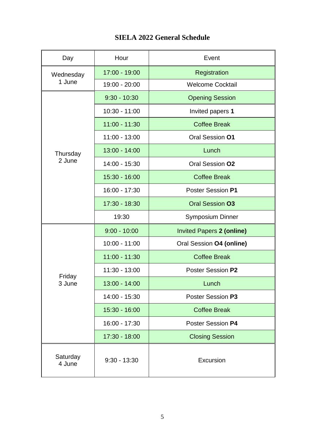|  | <b>SIELA 2022 General Schedule</b> |  |
|--|------------------------------------|--|
|--|------------------------------------|--|

| Day                | Hour            | Event                            |
|--------------------|-----------------|----------------------------------|
| Wednesday          | 17:00 - 19:00   | Registration                     |
| 1 June             | 19:00 - 20:00   | <b>Welcome Cocktail</b>          |
|                    | $9:30 - 10:30$  | <b>Opening Session</b>           |
|                    | $10:30 - 11:00$ | Invited papers 1                 |
|                    | $11:00 - 11:30$ | <b>Coffee Break</b>              |
|                    | 11:00 - 13:00   | Oral Session 01                  |
| Thursday           | $13:00 - 14:00$ | Lunch                            |
| 2 June             | 14:00 - 15:30   | Oral Session 02                  |
|                    | 15:30 - 16:00   | <b>Coffee Break</b>              |
|                    | 16:00 - 17:30   | Poster Session P1                |
|                    | 17:30 - 18:30   | <b>Oral Session 03</b>           |
|                    | 19:30           | <b>Symposium Dinner</b>          |
|                    | $9:00 - 10:00$  | <b>Invited Papers 2 (online)</b> |
|                    | $10:00 - 11:00$ | Oral Session 04 (online)         |
|                    | $11:00 - 11:30$ | <b>Coffee Break</b>              |
|                    | $11:30 - 13:00$ | Poster Session P2                |
| Friday<br>3 June   | 13:00 - 14:00   | Lunch                            |
|                    | 14:00 - 15:30   | Poster Session P3                |
|                    | $15:30 - 16:00$ | <b>Coffee Break</b>              |
|                    | 16:00 - 17:30   | Poster Session P4                |
|                    | 17:30 - 18:00   | <b>Closing Session</b>           |
| Saturday<br>4 June | $9:30 - 13:30$  | Excursion                        |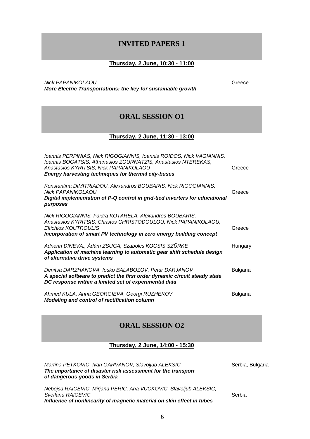#### **INVITED PAPERS 1**

#### **Thursday, 2 June, 10:30 - 11:00**

*Nick PAPANIKOLAOU* Greece *More Electric Transportations: the key for sustainable growth*

#### **ORAL SESSION O1**

#### **Thursday, 2 June, 11:30 - 13:00**

| Ioannis PERPINIAS, Nick RIGOGIANNIS, Ioannis ROIDOS, Nick VAGIANNIS,<br>Ioannis BOGATSIS, Athanasios ZOURNATZIS, Anastasios NTEREKAS,<br>Anastasios KYRITSIS, Nick PAPANIKOLAOU<br><b>Energy harvesting techniques for thermal city-buses</b> | Greece          |
|-----------------------------------------------------------------------------------------------------------------------------------------------------------------------------------------------------------------------------------------------|-----------------|
| Konstantina DIMITRIADOU, Alexandros BOUBARIS, Nick RIGOGIANNIS,<br><b>Nick PAPANIKOLAOU</b><br>Digital implementation of P-Q control in grid-tied inverters for educational<br>purposes                                                       | Greece          |
| Nick RIGOGIANNIS, Faidra KOTARELA, Alexandros BOUBARIS,<br>Anastasios KYRITSIS, Christos CHRISTODOULOU, Nick PAPANIKOLAOU,<br>Eftichios KOUTROULIS<br>Incorporation of smart PV technology in zero energy building concept                    | Greece          |
| Adrienn DINEVA,, Ádám ZSUGA, Szabolcs KOCSIS SZÜRKE<br>Application of machine learning to automatic gear shift schedule design<br>of alternative drive systems                                                                                | Hungary         |
| Denitsa DARZHANOVA, losko BALABOZOV, Petar DARJANOV<br>A special software to predict the first order dynamic circuit steady state<br>DC response within a limited set of experimental data                                                    | <b>Bulgaria</b> |
| Ahmed KULA, Anna GEORGIEVA, Georgi RUZHEKOV<br>Modeling and control of rectification column                                                                                                                                                   | <b>Bulgaria</b> |

#### **ORAL SESSION O2**

#### **Thursday, 2 June, 14:00 - 15:30**

| Martina PETKOVIC, Ivan GARVANOV, Slavoljub ALEKSIC<br>The importance of disaster risk assessment for the transport<br>of dangerous goods in Serbia | Serbia, Bulgaria |
|----------------------------------------------------------------------------------------------------------------------------------------------------|------------------|
| Nebojsa RAICEVIC, Mirjana PERIC, Ana VUCKOVIC, Slavoljub ALEKSIC,<br>Svetlana RAICEVIC                                                             | Serbia           |
| Influence of nonlinearity of magnetic material on skin effect in tubes                                                                             |                  |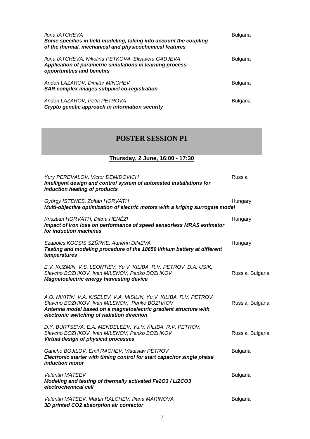| <i>Ilona IATCHEVA</i><br>Some specifics in field modeling, taking into account the coupling<br>of the thermal, mechanical and physicochemical features | Bulgaria        |
|--------------------------------------------------------------------------------------------------------------------------------------------------------|-----------------|
| Ilona IATCHEVA, Nikolina PETKOVA, Elisaveta GADJEVA<br>Application of parametric simulations in learning process -<br>opportunities and benefits       | <b>Bulgaria</b> |
| Andon LAZAROV, Dimitar MINCHEV<br>SAR complex images subpixel co-registration                                                                          | Bulgaria        |
| Andon LAZAROV, Petia PETROVA<br>Crypto genetic approach in information security                                                                        | <b>Bulgaria</b> |

#### **POSTER SESSION P1**

#### **Thursday, 2 June, 16:00 - 17:30**

| Yury PEREVALOV, Victor DEMIDOVICH<br>Intelligent design and control system of automated installations for<br>induction heating of products                                                                                              | Russia           |
|-----------------------------------------------------------------------------------------------------------------------------------------------------------------------------------------------------------------------------------------|------------------|
| György ISTENES, Zoltán HORVÁTH<br>Multi-objective optimization of electric motors with a kriging surrogate model                                                                                                                        | Hungary          |
| Krisztián HORVÁTH, Diána HENÉZI<br>Impact of iron loss on performance of speed sensorless MRAS estimator<br>for induction machines                                                                                                      | Hungary          |
| Szabolcs KOCSIS SZÜRKE, Adrienn DINEVA<br>Testing and modeling procedure of the 18650 lithium battery at different<br>temperatures                                                                                                      | Hungary          |
| E.V. KUZMIN, V.S. LEONTIEV, Yu.V. KILIBA, R.V. PETROV, D.A. USIK,<br>Slavcho BOZHKOV, Ivan MILENOV, Penko BOZHKOV<br><b>Magnetoelectric energy harvesting device</b>                                                                    | Russia, Bulgaria |
| A.O. NIKITIN, V.A. KISELEV, V.A. MISILIN, Yu.V. KILIBA, R.V. PETROV,<br>Slavcho BOZHKOV, Ivan MILENOV, Penko BOZHKOV<br>Antenna model based on a magnetoelectric gradient structure with<br>electronic switching of radiation direction | Russia, Bulgaria |
| D.Y. BURTSEVA, E.A. MENDELEEV, Yu.V. KILIBA, R.V. PETROV,<br>Slavcho BOZHKOV, Ivan MILENOV, Penko BOZHKOV<br>Virtual design of physical processes                                                                                       | Russia, Bulgaria |
| Gancho BOJILOV, Emil RACHEV, Vladislav PETROV<br>Electronic starter with timing control for start capacitor single phase<br>induction motor                                                                                             | <b>Bulgaria</b>  |
| <b>Valentin MATEEV</b><br>Modeling and testing of thermally activated Fe2O3 / Li2CO3<br>electrochemical cell                                                                                                                            | <b>Bulgaria</b>  |
| Valentin MATEEV, Martin RALCHEV, Iliana MARINOVA<br>3D printed CO2 absorption air contactor                                                                                                                                             | <b>Bulgaria</b>  |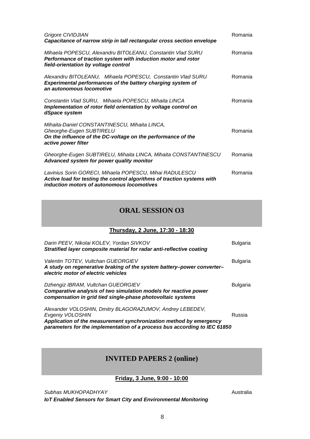| Grigore CIVIDJIAN<br>Capacitance of narrow strip in tall rectangular cross section envelope                                                                                      | Romania |
|----------------------------------------------------------------------------------------------------------------------------------------------------------------------------------|---------|
| Mihaela POPESCU, Alexandru BITOLEANU, Constantin Vlad SURU<br>Performance of traction system with induction motor and rotor<br>field-orientation by voltage control              | Romania |
| Alexandru BITOLEANU, Mihaela POPESCU, Constantin Vlad SURU<br>Experimental performances of the battery charging system of<br>an autonomous locomotive                            | Romania |
| Constantin Vlad SURU, Mihaela POPESCU, Mihaita LINCA<br>Implementation of rotor field orientation by voltage control on<br>dSpace system                                         | Romania |
| Mihaita-Daniel CONSTANTINESCU, Mihaita LINCA,<br>Gheorghe-Eugen SUBTIRELU<br>On the influence of the DC-voltage on the performance of the<br>active power filter                 | Romania |
| Gheorghe-Eugen SUBTIRELU, Mihaita LINCA, Mihaita CONSTANTINESCU<br>Advanced system for power quality monitor                                                                     | Romania |
| Lavinius Sorin GORECI, Mihaela POPESCU, Mihai RADULESCU<br>Active load for testing the control algorithms of traction systems with<br>induction motors of autonomous locomotives | Romania |

#### **ORAL SESSION O3**

#### **Thursday, 2 June, 17:30 - 18:30**

| Darin PEEV, Nikolai KOLEV, Yordan SIVKOV<br>Stratified layer composite material for radar anti-reflective coating                                                                                                               | <b>Bulgaria</b> |
|---------------------------------------------------------------------------------------------------------------------------------------------------------------------------------------------------------------------------------|-----------------|
| Valentin TOTEV, Vultchan GUEORGIEV<br>A study on regenerative braking of the system battery-power converter-<br>electric motor of electric vehicles                                                                             | <b>Bulgaria</b> |
| Dzhengiz IBRAM, Vultchan GUEORGIEV<br>Comparative analysis of two simulation models for reactive power<br>compensation in grid tied single-phase photovoltaic systems                                                           | <b>Bulgaria</b> |
| Alexander VOLOSHIN, Dmitry BLAGORAZUMOV, Andrey LEBEDEV,<br>Evgeniy VOLOSHIN<br>Application of the measurement synchronization method by emergency<br>parameters for the implementation of a process bus according to IEC 61850 | Russia          |

## **INVITED PAPERS 2 (online)**

#### **Friday, 3 June, 9:00 - 10:00**

**Subhas MUKHOPADHYAY** and a straight a straight and a straight a straight and a straight a straight a straight and a straight a straight a straight a straight and a straight a straight a straight a straight a straight a st

*IoT Enabled Sensors for Smart City and Environmental Monitoring*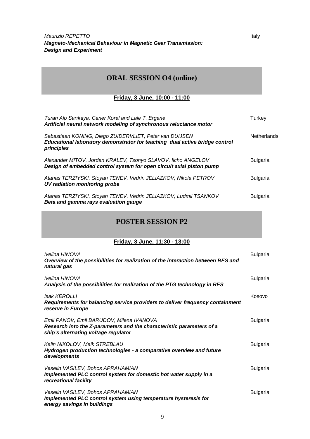*Maurizio REPETTO* and *Italy Italy Italy Italy Italy Italy Italy Italy Italy Italy Italy Italy Italy Italy Italy Italy Italy Italy Italy Italy Italy Italy Italy Italy Italy Magneto-Mechanical Behaviour in Magnetic Gear Transmission: Design and Experiment*

## **ORAL SESSION O4 (online)**

#### **Friday, 3 June, 10:00 - 11:00**

| Turan Alp Sarıkaya, Caner Korel and Lale T. Ergene<br>Artificial neural network modeling of synchronous reluctance motor                             | Turkey             |
|------------------------------------------------------------------------------------------------------------------------------------------------------|--------------------|
| Sebastiaan KONING, Diego ZUIDERVLIET, Peter van DUIJSEN<br>Educational laboratory demonstrator for teaching dual active bridge control<br>principles | <b>Netherlands</b> |
| Alexander MITOV, Jordan KRALEV, Tsonyo SLAVOV, Ilcho ANGELOV<br>Design of embedded control system for open circuit axial piston pump                 | Bulgaria           |
| Atanas TERZIYSKI, Stoyan TENEV, Vedrin JELIAZKOV, Nikola PETROV<br>UV radiation monitoring probe                                                     | <b>Bulgaria</b>    |
| Atanas TERZIYSKI, Stoyan TENEV, Vedrin JELIAZKOV, Ludmil TSANKOV<br>Beta and gamma rays evaluation gauge                                             | Bulgaria           |

#### **POSTER SESSION P2**

#### **Friday, 3 June, 11:30 - 13:00**

| Ivelina HINOVA<br>Overview of the possibilities for realization of the interaction between RES and<br>natural gas                                         | <b>Bulgaria</b> |
|-----------------------------------------------------------------------------------------------------------------------------------------------------------|-----------------|
| Ivelina HINOVA<br>Analysis of the possibilities for realization of the PTG technology in RES                                                              | <b>Bulgaria</b> |
| <b>Isak KEROLLI</b><br>Requirements for balancing service providers to deliver frequency containment<br>reserve in Europe                                 | Kosovo          |
| Emil PANOV, Emil BARUDOV, Milena IVANOVA<br>Research into the Z-parameters and the characteristic parameters of a<br>ship's alternating voltage regulator | <b>Bulgaria</b> |
| Kalin NIKOLOV, Maik STREBLAU<br>Hydrogen production technologies - a comparative overview and future<br>developments                                      | <b>Bulgaria</b> |
| Veselin VASILEV, Bohos APRAHAMIAN<br>Implemented PLC control system for domestic hot water supply in a<br>recreational facility                           | <b>Bulgaria</b> |
| Veselin VASILEV, Bohos APRAHAMIAN<br>Implemented PLC control system using temperature hysteresis for<br>energy savings in buildings                       | <b>Bulgaria</b> |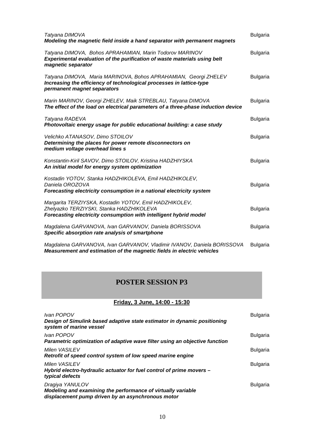| Tatyana DIMOVA<br>Modeling the magnetic field inside a hand separator with permanent magnets                                                                            | <b>Bulgaria</b> |
|-------------------------------------------------------------------------------------------------------------------------------------------------------------------------|-----------------|
| Tatyana DIMOVA, Bohos APRAHAMIAN, Marin Todorov MARINOV<br>Experimental evaluation of the purification of waste materials using belt<br>magnetic separator              | <b>Bulgaria</b> |
| Tatyana DIMOVA, Maria MARINOVA, Bohos APRAHAMIAN, Georgi ZHELEV<br>Increasing the efficiency of technological processes in lattice-type<br>permanent magnet separators  | <b>Bulgaria</b> |
| Marin MARINOV, Georgi ZHELEV, Maik STREBLAU, Tatyana DIMOVA<br>The effect of the load on electrical parameters of a three-phase induction device                        | <b>Bulgaria</b> |
| Tatyana RADEVA<br>Photovoltaic energy usage for public educational building: a case study                                                                               | <b>Bulgaria</b> |
| Velichko ATANASOV, Dimo STOILOV<br>Determining the places for power remote disconnectors on<br>medium voltage overhead lines s                                          | <b>Bulgaria</b> |
| Konstantin-Kiril SAVOV, Dimo STOILOV, Kristina HADZHIYSKA<br>An initial model for energy system optimization                                                            | <b>Bulgaria</b> |
| Kostadin YOTOV, Stanka HADZHIKOLEVA, Emil HADZHIKOLEV,<br>Daniela OROZOVA<br>Forecasting electricity consumption in a national electricity system                       | <b>Bulgaria</b> |
| Margarita TERZIYSKA, Kostadin YOTOV, Emil HADZHIKOLEV,<br>Zhelyazko TERZIYSKI, Stanka HADZHIKOLEVA<br>Forecasting electricity consumption with intelligent hybrid model | <b>Bulgaria</b> |
| Magdalena GARVANOVA, Ivan GARVANOV, Daniela BORISSOVA<br>Specific absorption rate analysis of smartphone                                                                | <b>Bulgaria</b> |
|                                                                                                                                                                         |                 |

*Magdalena GARVANOVA, Ivan GARVANOV, Vladimir IVANOV, Daniela BORISSOVA* Bulgaria *Measurement and estimation of the magnetic fields in electric vehicles*

#### **POSTER SESSION P3**

#### **Friday, 3 June, 14:00 - 15:30**

| Ivan POPOV<br>Design of Simulink based adaptive state estimator in dynamic positioning<br>system of marine vessel                    | Bulgaria        |
|--------------------------------------------------------------------------------------------------------------------------------------|-----------------|
| Ivan POPOV<br>Parametric optimization of adaptive wave filter using an objective function                                            | <b>Bulgaria</b> |
| <b>Milen VASILEV</b><br>Retrofit of speed control system of low speed marine engine                                                  | <b>Bulgaria</b> |
| <b>Milen VASILEV</b><br>Hybrid electro-hydraulic actuator for fuel control of prime movers -<br>typical defects                      | <b>Bulgaria</b> |
| Dragiya YANULOV<br>Modeling and examining the performance of virtually variable<br>displacement pump driven by an asynchronous motor | <b>Bulgaria</b> |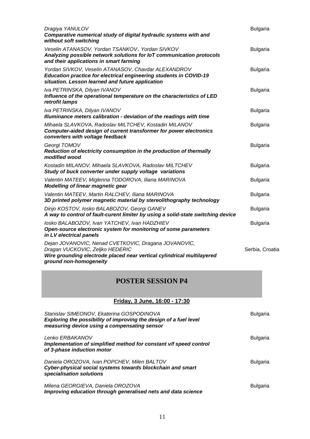| Dragiya YANULOV<br>Comparative numerical study of digital hydraulic systems with and<br>without soft switching                                                                              | <b>Bulgaria</b> |
|---------------------------------------------------------------------------------------------------------------------------------------------------------------------------------------------|-----------------|
| Veselin ATANASOV, Yordan TSANKOV, Yordan SIVKOV<br>Analyzing possible network solutions for IoT communication protocols<br>and their applications in smart farming                          | <b>Bulgaria</b> |
| Yordan SIVKOV, Veselin ATANASOV, Chavdar ALEXANDROV<br>Education practice for electrical engineering students in COVID-19<br>situation. Lesson learned and future application               | <b>Bulgaria</b> |
| Iva PETRINSKA, Dilyan IVANOV<br>Influence of the operational temperature on the characteristics of LED<br>retrofit lamps                                                                    | <b>Bulgaria</b> |
| Iva PETRINSKA, Dilyan IVANOV<br>Illuminance meters calibration - deviation of the readings with time                                                                                        | <b>Bulgaria</b> |
| Mihaela SLAVKOVA, Radoslav MILTCHEV, Kostadin MILANOV<br>Computer-aided design of current transformer for power electronics<br>converters with voltage feedback                             | <b>Bulgaria</b> |
| Georgi TOMOV<br>Reduction of electricity consumption in the production of thermally<br>modified wood                                                                                        | <b>Bulgaria</b> |
| Kostadin MILANOV, Mihaela SLAVKOVA, Radoslav MILTCHEV<br>Study of buck converter under supply voltage variations                                                                            | <b>Bulgaria</b> |
| Valentin MATEEV, Miglenna TODOROVA, Iliana MARINOVA<br><b>Modelling of linear magnetic gear</b>                                                                                             | <b>Bulgaria</b> |
| Valentin MATEEV, Martin RALCHEV, Iliana MARINOVA<br>3D printed polymer magnetic material by stereolithography technology                                                                    | <b>Bulgaria</b> |
| Dinjo KOSTOV, losko BALABOZOV, Georgi GANEV<br>A way to control of fault-curent limiter by using a solid-state switching device                                                             | <b>Bulgaria</b> |
| losko BALABOZOV, Ivan YATCHEV, Ivan HADZHIEV<br>Open-source electronic system for monitoring of some parameters<br>in LV electrical panels                                                  | <b>Bulgaria</b> |
| Dejan JOVANOVIC, Nenad CVETKOVIC, Dragana JOVANOVIC,<br>Dragan VUCKOVIC, Zeljko HEDERIC<br>Wire grounding electrode placed near vertical cylindrical multilayered<br>ground non-homogeneity | Serbia, Croatia |

## **POSTER SESSION P4**

#### **Friday, 3 June, 16:00 - 17:30**

| Stanislav SIMEONOV, Ekaterina GOSPODINOVA<br>Exploring the possibility of improving the design of a fuel level<br>measuring device using a compensating sensor | <b>Bulgaria</b> |
|----------------------------------------------------------------------------------------------------------------------------------------------------------------|-----------------|
| Lenko ERBAKANOV<br>Implementation of simplified method for constant v/f speed control<br>of 3-phase induction motor                                            | Bulgaria        |
| Daniela OROZOVA, Ivan POPCHEV, Milen BALTOV<br>Cyber-physical social systems towards blockchain and smart<br>specialisation solutions                          | <b>Bulgaria</b> |
| Milena GEORGIEVA, Daniela OROZOVA<br>Improving education through generalised nets and data science                                                             | Bulgaria        |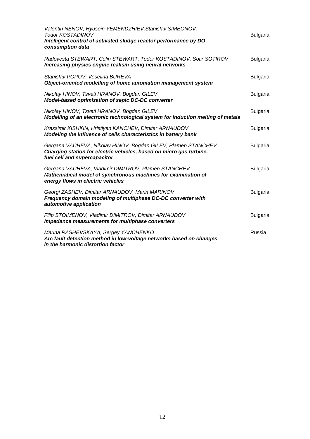| Valentin NENOV, Hyusein YEMENDZHIEV, Stanislav SIMEONOV,<br>Todor KOSTADINOV<br>Intelligent control of activated sludge reactor performance by DO<br>consumption data | <b>Bulgaria</b> |
|-----------------------------------------------------------------------------------------------------------------------------------------------------------------------|-----------------|
| Radovesta STEWART, Colin STEWART, Todor KOSTADINOV, Sotir SOTIROV<br>Increasing physics engine realism using neural networks                                          | <b>Bulgaria</b> |
| Stanislav POPOV, Veselina BUREVA<br>Object-oriented modelling of home automation management system                                                                    | <b>Bulgaria</b> |
| Nikolay HINOV, Tsveti HRANOV, Bogdan GILEV<br>Model-based optimization of sepic DC-DC converter                                                                       | <b>Bulgaria</b> |
| Nikolay HINOV, Tsveti HRANOV, Bogdan GILEV<br>Modelling of an electronic technological system for induction melting of metals                                         | <b>Bulgaria</b> |
| Krassimir KISHKIN, Hristiyan KANCHEV, Dimitar ARNAUDOV<br>Modeling the influence of cells characteristics in battery bank                                             | <b>Bulgaria</b> |
| Gergana VACHEVA, Nikolay HINOV, Bogdan GILEV, Plamen STANCHEV<br>Charging station for electric vehicles, based on micro gas turbine,<br>fuel cell and supercapacitor  | <b>Bulgaria</b> |
| Gergana VACHEVA, Vladimir DIMITROV, Plamen STANCHEV<br>Mathematical model of synchronous machines for examination of<br>energy flows in electric vehicles             | <b>Bulgaria</b> |
| Georgi ZASHEV, Dimitar ARNAUDOV, Marin MARINOV<br>Frequency domain modeling of multiphase DC-DC converter with<br>automotive application                              | <b>Bulgaria</b> |
| Filip STOIMENOV, Vladimir DIMITROV, Dimitar ARNAUDOV<br>Impedance measurements for multiphase converters                                                              | <b>Bulgaria</b> |
| Marina RASHEVSKAYA, Sergey YANCHENKO<br>Arc fault detection method in low-voltage networks based on changes<br>in the harmonic distortion factor                      | Russia          |